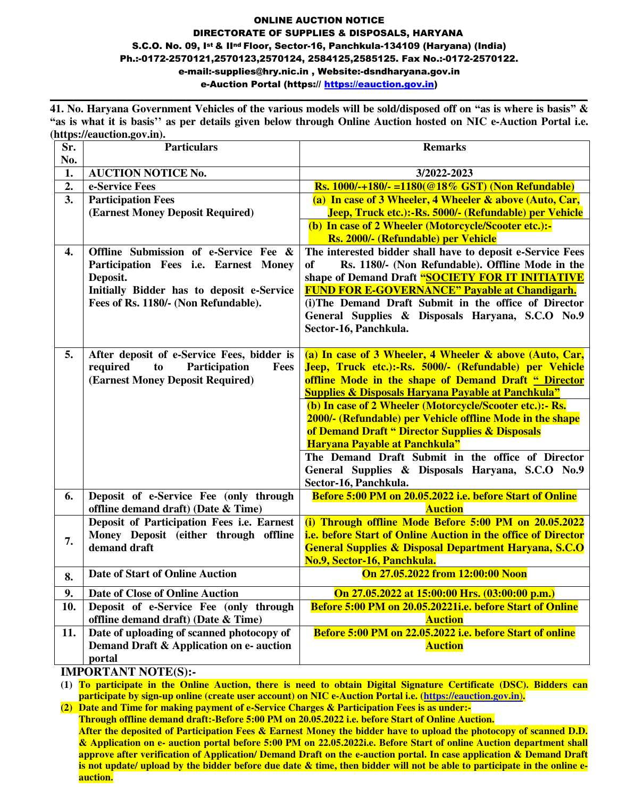#### ONLINE AUCTION NOTICE DIRECTORATE OF SUPPLIES & DISPOSALS, HARYANA S.C.O. No. 09, Ist & IInd Floor, Sector-16, Panchkula-134109 (Haryana) (India) Ph.:-0172-2570121,2570123,2570124, 2584125,2585125. Fax No.:-0172-2570122. e-mail:-supplies@hry.nic.in , Website:-dsndharyana.gov.in e-Auction Portal [\(https:// https://eauction.gov.in\)](https://haryanaeprocurement.gov.in/) **\_\_\_\_\_\_\_\_\_\_\_\_\_\_\_\_\_\_\_\_\_\_\_\_\_\_\_\_\_\_\_\_\_\_\_\_\_\_\_\_\_\_\_\_\_\_\_\_\_\_\_\_\_\_\_\_\_\_\_\_\_\_\_\_\_\_\_\_\_\_\_\_\_\_\_\_\_\_\_\_\_\_\_\_\_\_\_\_\_\_\_**

**41. No. Haryana Government Vehicles of the various models will be sold/disposed off on "as is where is basis" & "as is what it is basis'' as per details given below through Online Auction hosted on NIC e-Auction Portal i.e. [\(https://e](https://)auction.gov.in).**

| Sr.<br>No.       | Particulars                                                                                                                                                                     | <b>Remarks</b>                                                                                                                                                                                                                                                                                                                                                                                                                                                                                                                                                                            |  |  |  |
|------------------|---------------------------------------------------------------------------------------------------------------------------------------------------------------------------------|-------------------------------------------------------------------------------------------------------------------------------------------------------------------------------------------------------------------------------------------------------------------------------------------------------------------------------------------------------------------------------------------------------------------------------------------------------------------------------------------------------------------------------------------------------------------------------------------|--|--|--|
| 1.               | <b>AUCTION NOTICE No.</b>                                                                                                                                                       | 3/2022-2023                                                                                                                                                                                                                                                                                                                                                                                                                                                                                                                                                                               |  |  |  |
| $\overline{2}$ . | e-Service Fees                                                                                                                                                                  | <b>Rs.</b> 1000/-+180/- =1180(@18% GST) (Non Refundable)                                                                                                                                                                                                                                                                                                                                                                                                                                                                                                                                  |  |  |  |
| $\overline{3}$ . | <b>Participation Fees</b><br>(Earnest Money Deposit Required)                                                                                                                   | (a) In case of 3 Wheeler, 4 Wheeler & above (Auto, Car,<br>Jeep, Truck etc.):-Rs. 5000/- (Refundable) per Vehicle<br>(b) In case of 2 Wheeler (Motorcycle/Scooter etc.):-<br>Rs. 2000/- (Refundable) per Vehicle                                                                                                                                                                                                                                                                                                                                                                          |  |  |  |
| 4.               | Offline Submission of e-Service Fee &<br>Participation Fees i.e. Earnest Money<br>Deposit.<br>Initially Bidder has to deposit e-Service<br>Fees of Rs. 1180/- (Non Refundable). | The interested bidder shall have to deposit e-Service Fees<br>Rs. 1180/- (Non Refundable). Offline Mode in the<br><b>of</b><br>shape of Demand Draft "SOCIETY FOR IT INITIATIVE<br><b>FUND FOR E-GOVERNANCE" Payable at Chandigarh.</b><br>(i) The Demand Draft Submit in the office of Director<br>General Supplies & Disposals Haryana, S.C.O No.9<br>Sector-16, Panchkula.                                                                                                                                                                                                             |  |  |  |
| 5.               | After deposit of e-Service Fees, bidder is<br>Participation<br>required<br>Fees<br>to<br>(Earnest Money Deposit Required)                                                       | (a) In case of 3 Wheeler, 4 Wheeler & above (Auto, Car,<br>Jeep, Truck etc.):-Rs. 5000/- (Refundable) per Vehicle<br>offline Mode in the shape of Demand Draft " Director<br><b>Supplies &amp; Disposals Haryana Payable at Panchkula"</b><br>(b) In case of 2 Wheeler (Motorcycle/Scooter etc.):- Rs.<br>2000/- (Refundable) per Vehicle offline Mode in the shape<br>of Demand Draft " Director Supplies & Disposals<br>Haryana Payable at Panchkula"<br>The Demand Draft Submit in the office of Director<br>General Supplies & Disposals Haryana, S.C.O No.9<br>Sector-16, Panchkula. |  |  |  |
| 6.               | Deposit of e-Service Fee (only through<br>offline demand draft) (Date & Time)                                                                                                   | Before 5:00 PM on 20.05.2022 i.e. before Start of Online<br><b>Auction</b>                                                                                                                                                                                                                                                                                                                                                                                                                                                                                                                |  |  |  |
| 7.               | Deposit of Participation Fees i.e. Earnest<br>Money Deposit (either through offline<br>demand draft                                                                             | (i) Through offline Mode Before 5:00 PM on 20.05.2022<br>i.e. before Start of Online Auction in the office of Director<br><b>General Supplies &amp; Disposal Department Haryana, S.C.O</b><br>No.9, Sector-16, Panchkula.                                                                                                                                                                                                                                                                                                                                                                 |  |  |  |
| 8.               | <b>Date of Start of Online Auction</b>                                                                                                                                          | On 27.05.2022 from 12:00:00 Noon                                                                                                                                                                                                                                                                                                                                                                                                                                                                                                                                                          |  |  |  |
| 9.               | Date of Close of Online Auction                                                                                                                                                 | On 27.05.2022 at 15:00:00 Hrs. (03:00:00 p.m.)                                                                                                                                                                                                                                                                                                                                                                                                                                                                                                                                            |  |  |  |
| 10.              | Deposit of e-Service Fee (only through<br>offline demand draft) (Date & Time)                                                                                                   | Before 5:00 PM on 20.05.20221i.e. before Start of Online<br><b>Auction</b>                                                                                                                                                                                                                                                                                                                                                                                                                                                                                                                |  |  |  |
| 11.              | Date of uploading of scanned photocopy of<br>Demand Draft & Application on e- auction<br>portal                                                                                 | Before 5:00 PM on 22.05.2022 i.e. before Start of online<br><b>Auction</b>                                                                                                                                                                                                                                                                                                                                                                                                                                                                                                                |  |  |  |

**IMPORTANT NOTE(S):-** 

**(1) To participate in the Online Auction, there is need to obtain Digital Signature Certificate (DSC). Bidders can participate by sign-up online (create user account) on NIC e-Auction Portal i.e. [\(https://e](https://)auction.gov.in**)**.** 

**(2) Date and Time for making payment of e-Service Charges & Participation Fees is as under:- Through offline demand draft:-Before 5:00 PM on 20.05.2022 i.e. before Start of Online Auction. After the deposited of Participation Fees & Earnest Money the bidder have to upload the photocopy of scanned D.D. & Application on e- auction portal before 5:00 PM on 22.05.2022i.e. Before Start of online Auction department shall approve after verification of Application/ Demand Draft on the e-auction portal. In case application & Demand Draft is not update/ upload by the bidder before due date & time, then bidder will not be able to participate in the online eauction.**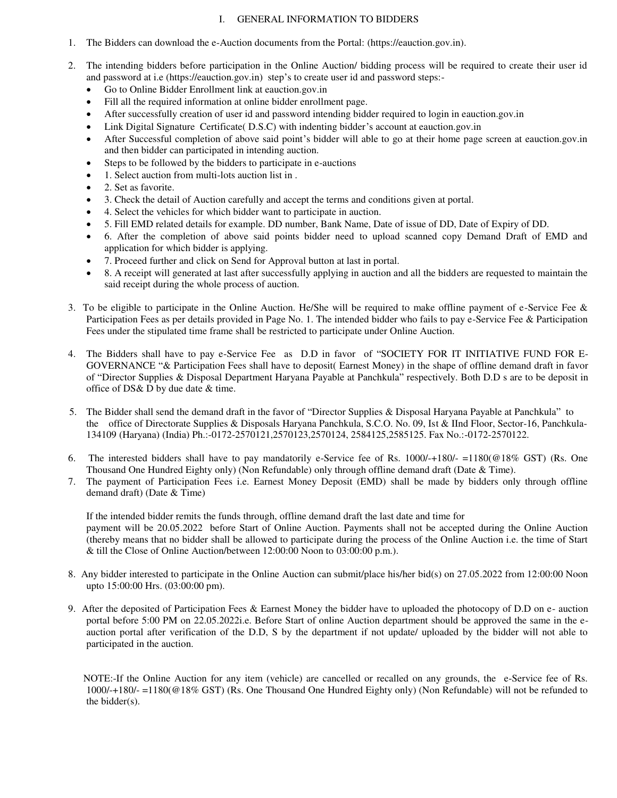#### I. GENERAL INFORMATION TO BIDDERS

- 1. The Bidders can download the e-Auction documents from the Portal: [\(https://e](https://)auction.gov.in).
- 2. The intending bidders before participation in the Online Auction/ bidding process will be required to create their user id and password at i.e [\(https://eauction.gov.in\)](https://eauction.gov.in/) step's to create user id and password steps:-
	- Go to Online Bidder Enrollment link at eauction.gov.in
	- Fill all the required information at online bidder enrollment page.
	- After successfully creation of user id and password intending bidder required to login in eauction.gov.in
	- Link Digital Signature Certificate( D.S.C) with indenting bidder's account at eauction.gov.in
	- After Successful completion of above said point's bidder will able to go at their home page screen at eauction.gov.in and then bidder can participated in intending auction.
	- Steps to be followed by the bidders to participate in e-auctions
	- 1. Select auction from multi-lots auction list in .
	- 2. Set as favorite.
	- 3. Check the detail of Auction carefully and accept the terms and conditions given at portal.
	- 4. Select the vehicles for which bidder want to participate in auction.
	- 5. Fill EMD related details for example. DD number, Bank Name, Date of issue of DD, Date of Expiry of DD.
	- 6. After the completion of above said points bidder need to upload scanned copy Demand Draft of EMD and application for which bidder is applying.
	- 7. Proceed further and click on Send for Approval button at last in portal.
	- 8. A receipt will generated at last after successfully applying in auction and all the bidders are requested to maintain the said receipt during the whole process of auction.
- 3. To be eligible to participate in the Online Auction. He/She will be required to make offline payment of e-Service Fee  $\&$ Participation Fees as per details provided in Page No. 1. The intended bidder who fails to pay e-Service Fee & Participation Fees under the stipulated time frame shall be restricted to participate under Online Auction.
- 4. The Bidders shall have to pay e-Service Fee as D.D in favor of "SOCIETY FOR IT INITIATIVE FUND FOR E-GOVERNANCE "& Participation Fees shall have to deposit( Earnest Money) in the shape of offline demand draft in favor of "Director Supplies & Disposal Department Haryana Payable at Panchkula" respectively. Both D.D s are to be deposit in office of DS& D by due date & time.
- 5. The Bidder shall send the demand draft in the favor of "Director Supplies & Disposal Haryana Payable at Panchkula" to the office of Directorate Supplies & Disposals Haryana Panchkula, S.C.O. No. 09, Ist & IInd Floor, Sector-16, Panchkula-134109 (Haryana) (India) Ph.:-0172-2570121,2570123,2570124, 2584125,2585125. Fax No.:-0172-2570122.
- 6. The interested bidders shall have to pay mandatorily e-Service fee of Rs.  $1000/-180/- 1180(@18% GST)$  (Rs. One Thousand One Hundred Eighty only) (Non Refundable) only through offline demand draft (Date & Time).
- 7. The payment of Participation Fees i.e. Earnest Money Deposit (EMD) shall be made by bidders only through offline demand draft) (Date & Time)

 If the intended bidder remits the funds through, offline demand draft the last date and time for payment will be 20.05.2022 before Start of Online Auction. Payments shall not be accepted during the Online Auction (thereby means that no bidder shall be allowed to participate during the process of the Online Auction i.e. the time of Start & till the Close of Online Auction/between 12:00:00 Noon to 03:00:00 p.m.).

- 8. Any bidder interested to participate in the Online Auction can submit/place his/her bid(s) on 27.05.2022 from 12:00:00 Noon upto 15:00:00 Hrs. (03:00:00 pm).
- 9. After the deposited of Participation Fees & Earnest Money the bidder have to uploaded the photocopy of D.D on e- auction portal before 5:00 PM on 22.05.2022i.e. Before Start of online Auction department should be approved the same in the eauction portal after verification of the D.D, S by the department if not update/ uploaded by the bidder will not able to participated in the auction.

 NOTE:-If the Online Auction for any item (vehicle) are cancelled or recalled on any grounds, the e-Service fee of Rs. 1000/-+180/- =1180(@18% GST) (Rs. One Thousand One Hundred Eighty only) (Non Refundable) will not be refunded to the bidder(s).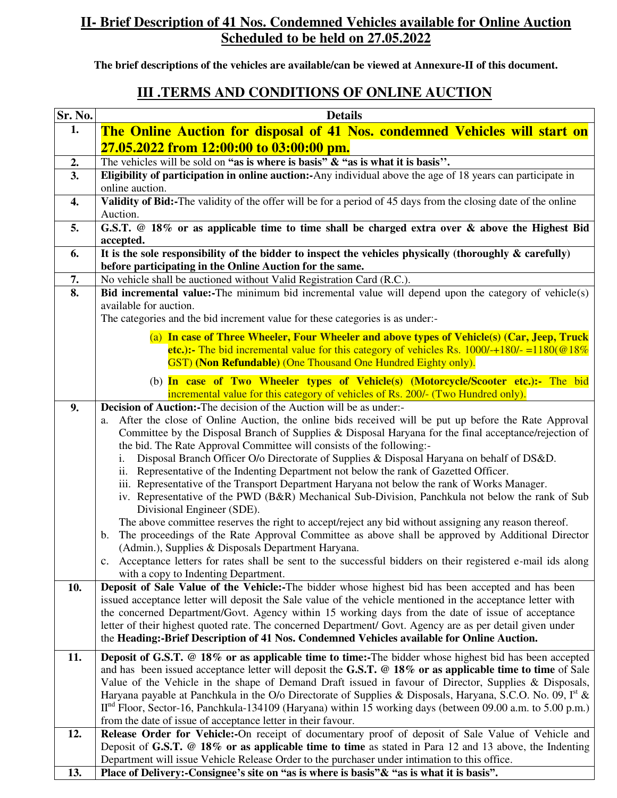### **II- Brief Description of 41 Nos. Condemned Vehicles available for Online Auction Scheduled to be held on 27.05.2022**

**The brief descriptions of the vehicles are available/can be viewed at Annexure-II of this document.** 

## **III .TERMS AND CONDITIONS OF ONLINE AUCTION**

| Sr. No. | <b>Details</b>                                                                                                                                                     |  |  |  |  |  |
|---------|--------------------------------------------------------------------------------------------------------------------------------------------------------------------|--|--|--|--|--|
| 1.      | The Online Auction for disposal of 41 Nos. condemned Vehicles will start on<br>27.05.2022 from 12:00:00 to 03:00:00 pm.                                            |  |  |  |  |  |
|         |                                                                                                                                                                    |  |  |  |  |  |
| 2.      | The vehicles will be sold on "as is where is basis" $\&$ "as is what it is basis".                                                                                 |  |  |  |  |  |
| 3.      | Eligibility of participation in online auction:-Any individual above the age of 18 years can participate in                                                        |  |  |  |  |  |
|         | online auction.                                                                                                                                                    |  |  |  |  |  |
| 4.      | Validity of Bid:-The validity of the offer will be for a period of 45 days from the closing date of the online                                                     |  |  |  |  |  |
|         | Auction.                                                                                                                                                           |  |  |  |  |  |
| 5.      | G.S.T. @ 18% or as applicable time to time shall be charged extra over & above the Highest Bid<br>accepted.                                                        |  |  |  |  |  |
| 6.      | It is the sole responsibility of the bidder to inspect the vehicles physically (thoroughly $\&$ carefully)                                                         |  |  |  |  |  |
|         | before participating in the Online Auction for the same.                                                                                                           |  |  |  |  |  |
| 7.      | No vehicle shall be auctioned without Valid Registration Card (R.C.).                                                                                              |  |  |  |  |  |
| 8.      | Bid incremental value:-The minimum bid incremental value will depend upon the category of vehicle(s)                                                               |  |  |  |  |  |
|         | available for auction.                                                                                                                                             |  |  |  |  |  |
|         | The categories and the bid increment value for these categories is as under:-                                                                                      |  |  |  |  |  |
|         | (a) In case of Three Wheeler, Four Wheeler and above types of Vehicle(s) (Car, Jeep, Truck                                                                         |  |  |  |  |  |
|         | etc.):- The bid incremental value for this category of vehicles Rs. $1000/-180/-1180/$ e $18\%$                                                                    |  |  |  |  |  |
|         | GST) (Non Refundable) (One Thousand One Hundred Eighty only).                                                                                                      |  |  |  |  |  |
|         | (b) In case of Two Wheeler types of Vehicle(s) (Motorcycle/Scooter etc.):- The bid                                                                                 |  |  |  |  |  |
|         | incremental value for this category of vehicles of Rs. 200/- (Two Hundred only).                                                                                   |  |  |  |  |  |
| 9.      | <b>Decision of Auction:-The decision of the Auction will be as under:-</b>                                                                                         |  |  |  |  |  |
|         | After the close of Online Auction, the online bids received will be put up before the Rate Approval<br>a.                                                          |  |  |  |  |  |
|         | Committee by the Disposal Branch of Supplies & Disposal Haryana for the final acceptance/rejection of                                                              |  |  |  |  |  |
|         | the bid. The Rate Approval Committee will consists of the following:-                                                                                              |  |  |  |  |  |
|         | Disposal Branch Officer O/o Directorate of Supplies & Disposal Haryana on behalf of DS&D.<br>i.                                                                    |  |  |  |  |  |
|         | ii. Representative of the Indenting Department not below the rank of Gazetted Officer.                                                                             |  |  |  |  |  |
|         | iii. Representative of the Transport Department Haryana not below the rank of Works Manager.                                                                       |  |  |  |  |  |
|         | iv. Representative of the PWD (B&R) Mechanical Sub-Division, Panchkula not below the rank of Sub<br>Divisional Engineer (SDE).                                     |  |  |  |  |  |
|         | The above committee reserves the right to accept/reject any bid without assigning any reason thereof.                                                              |  |  |  |  |  |
|         | The proceedings of the Rate Approval Committee as above shall be approved by Additional Director<br>$\mathbf b$ .                                                  |  |  |  |  |  |
|         | (Admin.), Supplies & Disposals Department Haryana.                                                                                                                 |  |  |  |  |  |
|         | c. Acceptance letters for rates shall be sent to the successful bidders on their registered e-mail ids along                                                       |  |  |  |  |  |
|         | with a copy to Indenting Department.                                                                                                                               |  |  |  |  |  |
| 10.     | Deposit of Sale Value of the Vehicle:-The bidder whose highest bid has been accepted and has been                                                                  |  |  |  |  |  |
|         | issued acceptance letter will deposit the Sale value of the vehicle mentioned in the acceptance letter with                                                        |  |  |  |  |  |
|         | the concerned Department/Govt. Agency within 15 working days from the date of issue of acceptance                                                                  |  |  |  |  |  |
|         | letter of their highest quoted rate. The concerned Department/ Govt. Agency are as per detail given under                                                          |  |  |  |  |  |
|         | the Heading:-Brief Description of 41 Nos. Condemned Vehicles available for Online Auction.                                                                         |  |  |  |  |  |
| 11.     | <b>Deposit of G.S.T.</b> @ 18% or as applicable time to time:-The bidder whose highest bid has been accepted                                                       |  |  |  |  |  |
|         | and has been issued acceptance letter will deposit the G.S.T. @ 18% or as applicable time to time of Sale                                                          |  |  |  |  |  |
|         | Value of the Vehicle in the shape of Demand Draft issued in favour of Director, Supplies & Disposals,                                                              |  |  |  |  |  |
|         | Haryana payable at Panchkula in the O/o Directorate of Supplies & Disposals, Haryana, S.C.O. No. 09, $Ist$ &                                                       |  |  |  |  |  |
|         | $IInd$ Floor, Sector-16, Panchkula-134109 (Haryana) within 15 working days (between 09.00 a.m. to 5.00 p.m.)                                                       |  |  |  |  |  |
| 12.     | from the date of issue of acceptance letter in their favour.<br>Release Order for Vehicle:-On receipt of documentary proof of deposit of Sale Value of Vehicle and |  |  |  |  |  |
|         | Deposit of G.S.T. $@18\%$ or as applicable time to time as stated in Para 12 and 13 above, the Indenting                                                           |  |  |  |  |  |
|         | Department will issue Vehicle Release Order to the purchaser under intimation to this office.                                                                      |  |  |  |  |  |
| 13.     | Place of Delivery:-Consignee's site on "as is where is basis" & "as is what it is basis".                                                                          |  |  |  |  |  |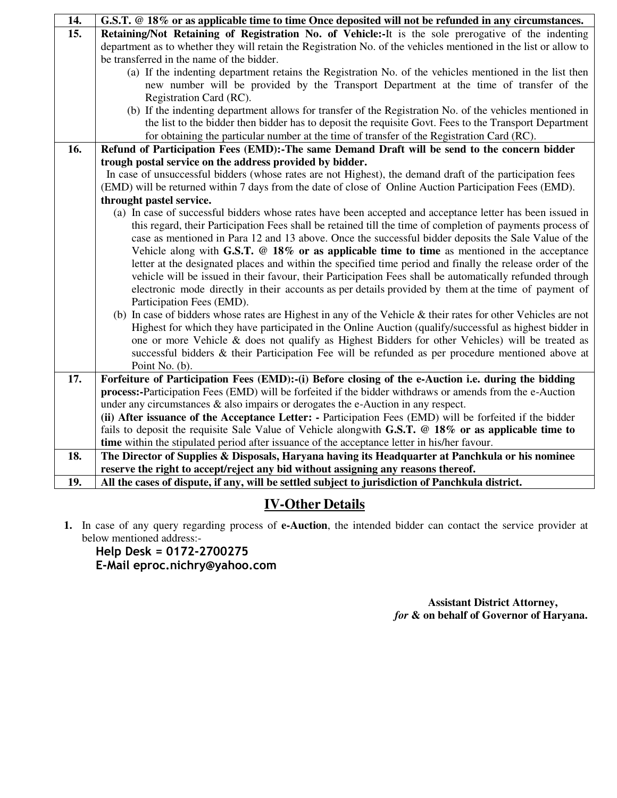| 14. | G.S.T. @ 18% or as applicable time to time Once deposited will not be refunded in any circumstances.             |  |  |  |  |  |  |
|-----|------------------------------------------------------------------------------------------------------------------|--|--|--|--|--|--|
| 15. | Retaining/Not Retaining of Registration No. of Vehicle:-It is the sole prerogative of the indenting              |  |  |  |  |  |  |
|     | department as to whether they will retain the Registration No. of the vehicles mentioned in the list or allow to |  |  |  |  |  |  |
|     | be transferred in the name of the bidder.                                                                        |  |  |  |  |  |  |
|     | (a) If the indenting department retains the Registration No. of the vehicles mentioned in the list then          |  |  |  |  |  |  |
|     | new number will be provided by the Transport Department at the time of transfer of the                           |  |  |  |  |  |  |
|     | Registration Card (RC).                                                                                          |  |  |  |  |  |  |
|     | (b) If the indenting department allows for transfer of the Registration No. of the vehicles mentioned in         |  |  |  |  |  |  |
|     | the list to the bidder then bidder has to deposit the requisite Govt. Fees to the Transport Department           |  |  |  |  |  |  |
|     | for obtaining the particular number at the time of transfer of the Registration Card (RC).                       |  |  |  |  |  |  |
| 16. | Refund of Participation Fees (EMD):-The same Demand Draft will be send to the concern bidder                     |  |  |  |  |  |  |
|     | trough postal service on the address provided by bidder.                                                         |  |  |  |  |  |  |
|     | In case of unsuccessful bidders (whose rates are not Highest), the demand draft of the participation fees        |  |  |  |  |  |  |
|     | (EMD) will be returned within 7 days from the date of close of Online Auction Participation Fees (EMD).          |  |  |  |  |  |  |
|     | throught pastel service.                                                                                         |  |  |  |  |  |  |
|     | (a) In case of successful bidders whose rates have been accepted and acceptance letter has been issued in        |  |  |  |  |  |  |
|     | this regard, their Participation Fees shall be retained till the time of completion of payments process of       |  |  |  |  |  |  |
|     | case as mentioned in Para 12 and 13 above. Once the successful bidder deposits the Sale Value of the             |  |  |  |  |  |  |
|     | Vehicle along with G.S.T. $@18\%$ or as applicable time to time as mentioned in the acceptance                   |  |  |  |  |  |  |
|     | letter at the designated places and within the specified time period and finally the release order of the        |  |  |  |  |  |  |
|     | vehicle will be issued in their favour, their Participation Fees shall be automatically refunded through         |  |  |  |  |  |  |
|     | electronic mode directly in their accounts as per details provided by them at the time of payment of             |  |  |  |  |  |  |
|     | Participation Fees (EMD).                                                                                        |  |  |  |  |  |  |
|     | (b) In case of bidders whose rates are Highest in any of the Vehicle $\&$ their rates for other Vehicles are not |  |  |  |  |  |  |
|     | Highest for which they have participated in the Online Auction (qualify/successful as highest bidder in          |  |  |  |  |  |  |
|     | one or more Vehicle & does not qualify as Highest Bidders for other Vehicles) will be treated as                 |  |  |  |  |  |  |
|     | successful bidders & their Participation Fee will be refunded as per procedure mentioned above at                |  |  |  |  |  |  |
|     | Point No. (b).                                                                                                   |  |  |  |  |  |  |
| 17. | Forfeiture of Participation Fees (EMD):-(i) Before closing of the e-Auction i.e. during the bidding              |  |  |  |  |  |  |
|     | process:-Participation Fees (EMD) will be forfeited if the bidder withdraws or amends from the e-Auction         |  |  |  |  |  |  |
|     | under any circumstances $\&$ also impairs or derogates the e-Auction in any respect.                             |  |  |  |  |  |  |
|     | (ii) After issuance of the Acceptance Letter: - Participation Fees (EMD) will be forfeited if the bidder         |  |  |  |  |  |  |
|     | fails to deposit the requisite Sale Value of Vehicle alongwith G.S.T. @ 18% or as applicable time to             |  |  |  |  |  |  |
|     | time within the stipulated period after issuance of the acceptance letter in his/her favour.                     |  |  |  |  |  |  |
| 18. | The Director of Supplies & Disposals, Haryana having its Headquarter at Panchkula or his nominee                 |  |  |  |  |  |  |
| 19. | reserve the right to accept/reject any bid without assigning any reasons thereof.                                |  |  |  |  |  |  |
|     | All the cases of dispute, if any, will be settled subject to jurisdiction of Panchkula district.                 |  |  |  |  |  |  |

# **IV-Other Details**

**1.** In case of any query regarding process of **e-Auction**, the intended bidder can contact the service provider at below mentioned address:-

**Help Desk = 0172-2700275 E-Mail eproc.nichry@yahoo.com**

> **Assistant District Attorney,** *for* **& on behalf of Governor of Haryana.**